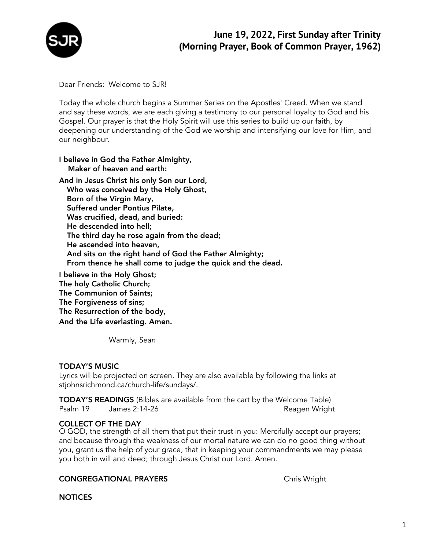

Dear Friends: Welcome to SJR!

Today the whole church begins a Summer Series on the Apostles' Creed. When we stand and say these words, we are each giving a testimony to our personal loyalty to God and his Gospel. Our prayer is that the Holy Spirit will use this series to build up our faith, by deepening our understanding of the God we worship and intensifying our love for Him, and our neighbour.

## I believe in God the Father Almighty, Maker of heaven and earth:

And in Jesus Christ his only Son our Lord, Who was conceived by the Holy Ghost, Born of the Virgin Mary, Suffered under Pontius Pilate, Was crucified, dead, and buried: He descended into hell; The third day he rose again from the dead; He ascended into heaven, And sits on the right hand of God the Father Almighty; From thence he shall come to judge the quick and the dead.

I believe in the Holy Ghost; The holy Catholic Church; The Communion of Saints; The Forgiveness of sins; The Resurrection of the body, And the Life everlasting. Amen.

Warmly, *Sean*

## TODAY'S MUSIC

Lyrics will be projected on screen. They are also available by following the links at stjohnsrichmond.ca/church-life/sundays/.

TODAY'S READINGS (Bibles are available from the cart by the Welcome Table) Psalm 19 James 2:14-26 Reagen Wright

## COLLECT OF THE DAY

O GOD, the strength of all them that put their trust in you: Mercifully accept our prayers; and because through the weakness of our mortal nature we can do no good thing without you, grant us the help of your grace, that in keeping your commandments we may please you both in will and deed; through Jesus Christ our Lord. Amen.

## CONGREGATIONAL PRAYERS CONGREGATIONAL PRAYERS

**NOTICES**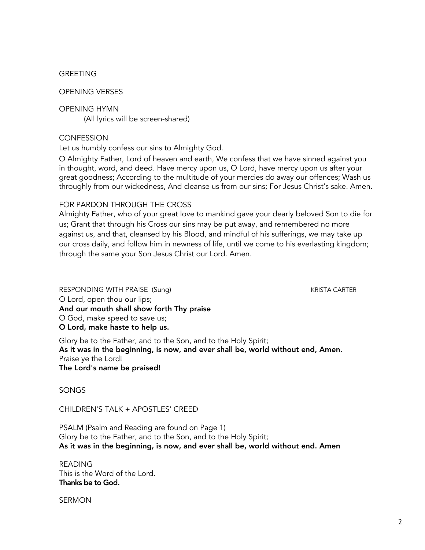#### GREETING

## OPENING VERSES

OPENING HYMN

(All lyrics will be screen-shared)

## **CONFESSION**

Let us humbly confess our sins to Almighty God.

O Almighty Father, Lord of heaven and earth, We confess that we have sinned against you in thought, word, and deed. Have mercy upon us, O Lord, have mercy upon us after your great goodness; According to the multitude of your mercies do away our offences; Wash us throughly from our wickedness, And cleanse us from our sins; For Jesus Christ's sake. Amen.

### FOR PARDON THROUGH THE CROSS

Almighty Father, who of your great love to mankind gave your dearly beloved Son to die for us; Grant that through his Cross our sins may be put away, and remembered no more against us, and that, cleansed by his Blood, and mindful of his sufferings, we may take up our cross daily, and follow him in newness of life, until we come to his everlasting kingdom; through the same your Son Jesus Christ our Lord. Amen.

RESPONDING WITH PRAISE (Sung) KRISTA CARTER O Lord, open thou our lips; And our mouth shall show forth Thy praise O God, make speed to save us; O Lord, make haste to help us.

Glory be to the Father, and to the Son, and to the Holy Spirit; As it was in the beginning, is now, and ever shall be, world without end, Amen. Praise ye the Lord! The Lord's name be praised!

SONGS

CHILDREN'S TALK + APOSTLES' CREED

PSALM (Psalm and Reading are found on Page 1) Glory be to the Father, and to the Son, and to the Holy Spirit; As it was in the beginning, is now, and ever shall be, world without end. Amen

READING This is the Word of the Lord. Thanks be to God.

SERMON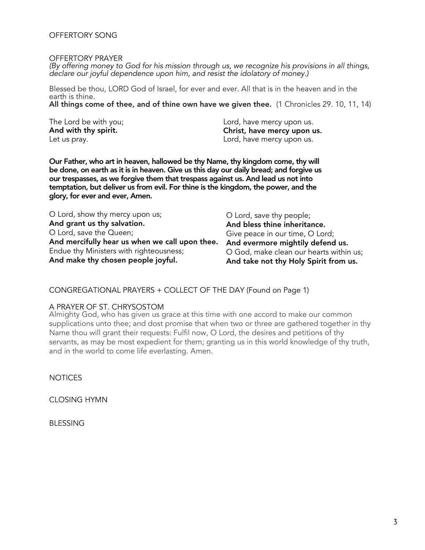#### OFFERTORY SONG

#### OFFERTORY PRAYER

(By offering money to God for his mission through us, we recognize his provisions in all things, declare our joyful dependence upon him, and resist the idolatory of money.)

Blessed be thou, LORD God of Israel, for ever and ever. All that is in the heaven and in the earth is thine.

All things come of thee, and of thine own have we given thee. (1 Chronicles 29. 10, 11, 14)

The Lord be with you; And with thy spirit. Let us pray.

Lord, have mercy upon us. Christ, have mercy upon us. Lord, have mercy upon us.

Our Father, who art in heaven, hallowed be thy Name, thy kingdom come, thy will be done, on earth as it is in heaven. Give us this day our daily bread; and forgive us our trespasses, as we forgive them that trespass against us. And lead us not into temptation, but deliver us from evil. For thine is the kingdom, the power, and the glory, for ever and ever, Amen.

| O Lord, show thy mercy upon us;                | O Lord, save thy people;                |
|------------------------------------------------|-----------------------------------------|
| And grant us thy salvation.                    | And bless thine inheritance.            |
| O Lord, save the Queen;                        | Give peace in our time, O Lord;         |
| And mercifully hear us when we call upon thee. | And evermore mightily defend us.        |
| Endue thy Ministers with righteousness;        | O God, make clean our hearts within us; |
| And make thy chosen people joyful.             | And take not thy Holy Spirit from us.   |

CONGREGATIONAL PRAYERS + COLLECT OF THE DAY (Found on Page 1)

#### A PRAYER OF ST. CHRYSOSTOM

Almighty God, who has given us grace at this time with one accord to make our common supplications unto thee; and dost promise that when two or three are gathered together in thy Name thou will grant their requests: Fulfil now, O Lord, the desires and petitions of thy servants, as may be most expedient for them; granting us in this world knowledge of thy truth, and in the world to come life everlasting. Amen.

**NOTICES** 

CLOSING HYMN

BLESSING